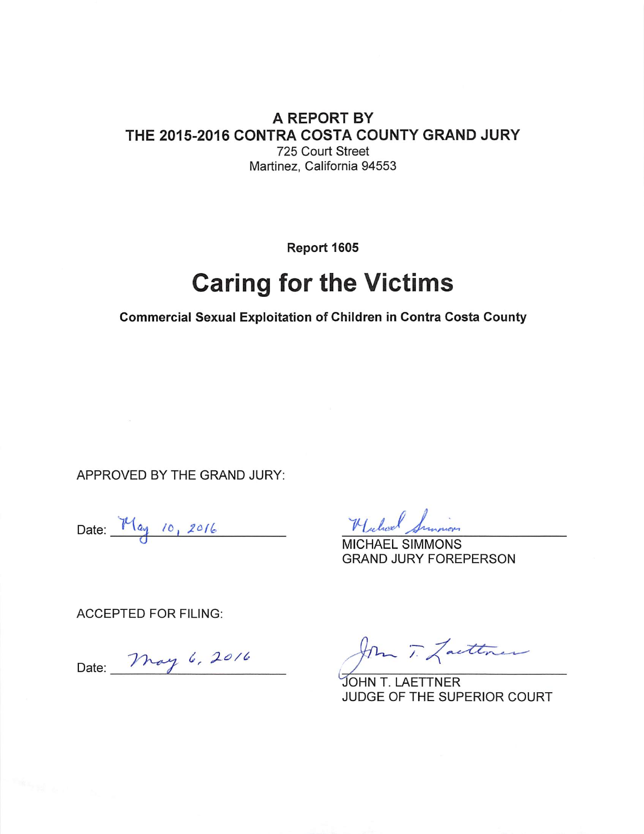#### A REPORT BY THE 2015-2016 CONTRA COSTA COUNTY GRAND JURY 725 Court Street Martinez, California 94553

Report 1605

# **Caring for the Victims**

**Commercial Sexual Exploitation of Children in Contra Costa County** 

APPROVED BY THE GRAND JURY:

Date:  $M_{\text{ay}}$  10, 2016

Hickory Sunnion

**MICHAEL SIMMONS GRAND JURY FOREPERSON** 

**ACCEPTED FOR FILING:** 

Date: May 6, 2016

Jom T. Lacttree

JOHN T. LAETTNER JUDGE OF THE SUPERIOR COURT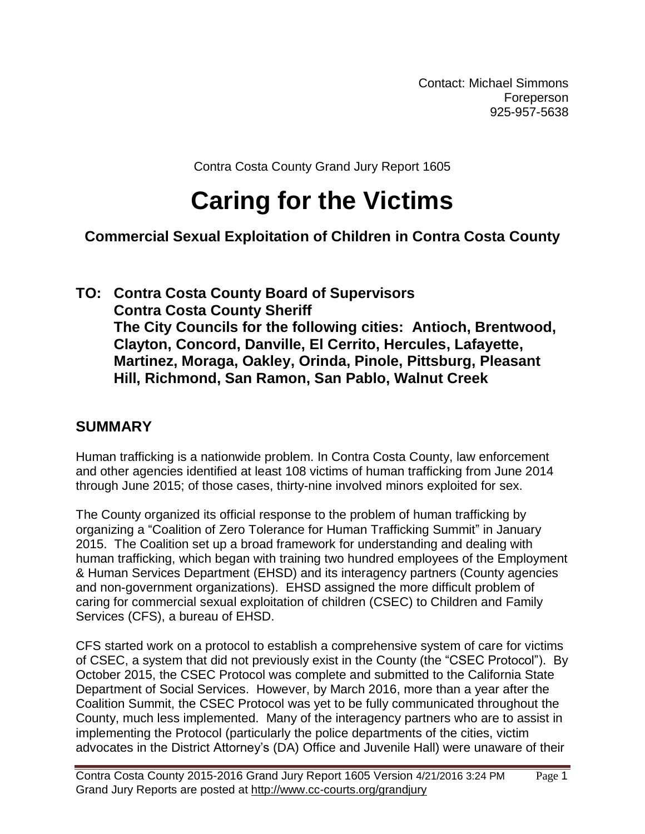Contact: Michael Simmons **Foreperson** 925-957-5638

Contra Costa County Grand Jury Report 1605

# **Caring for the Victims**

# **Commercial Sexual Exploitation of Children in Contra Costa County**

#### **TO: Contra Costa County Board of Supervisors Contra Costa County Sheriff The City Councils for the following cities: Antioch, Brentwood, Clayton, Concord, Danville, El Cerrito, Hercules, Lafayette, Martinez, Moraga, Oakley, Orinda, Pinole, Pittsburg, Pleasant Hill, Richmond, San Ramon, San Pablo, Walnut Creek**

#### **SUMMARY**

Human trafficking is a nationwide problem. In Contra Costa County, law enforcement and other agencies identified at least 108 victims of human trafficking from June 2014 through June 2015; of those cases, thirty-nine involved minors exploited for sex.

The County organized its official response to the problem of human trafficking by organizing a "Coalition of Zero Tolerance for Human Trafficking Summit" in January 2015. The Coalition set up a broad framework for understanding and dealing with human trafficking, which began with training two hundred employees of the Employment & Human Services Department (EHSD) and its interagency partners (County agencies and non-government organizations). EHSD assigned the more difficult problem of caring for commercial sexual exploitation of children (CSEC) to Children and Family Services (CFS), a bureau of EHSD.

CFS started work on a protocol to establish a comprehensive system of care for victims of CSEC, a system that did not previously exist in the County (the "CSEC Protocol"). By October 2015, the CSEC Protocol was complete and submitted to the California State Department of Social Services. However, by March 2016, more than a year after the Coalition Summit, the CSEC Protocol was yet to be fully communicated throughout the County, much less implemented. Many of the interagency partners who are to assist in implementing the Protocol (particularly the police departments of the cities, victim advocates in the District Attorney's (DA) Office and Juvenile Hall) were unaware of their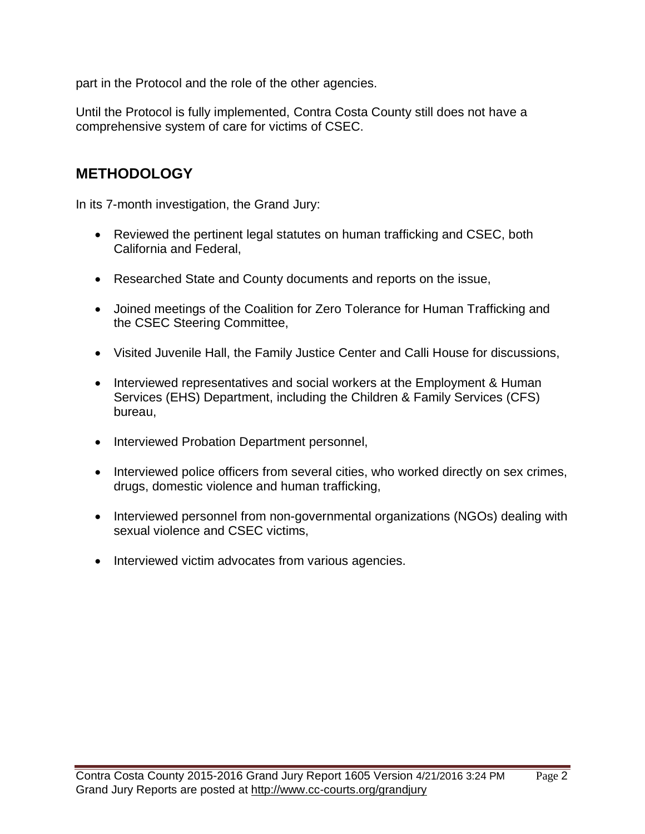part in the Protocol and the role of the other agencies.

Until the Protocol is fully implemented, Contra Costa County still does not have a comprehensive system of care for victims of CSEC.

#### **METHODOLOGY**

In its 7-month investigation, the Grand Jury:

- Reviewed the pertinent legal statutes on human trafficking and CSEC, both California and Federal,
- Researched State and County documents and reports on the issue,
- Joined meetings of the Coalition for Zero Tolerance for Human Trafficking and the CSEC Steering Committee,
- Visited Juvenile Hall, the Family Justice Center and Calli House for discussions,
- Interviewed representatives and social workers at the Employment & Human Services (EHS) Department, including the Children & Family Services (CFS) bureau,
- Interviewed Probation Department personnel,
- Interviewed police officers from several cities, who worked directly on sex crimes, drugs, domestic violence and human trafficking,
- Interviewed personnel from non-governmental organizations (NGOs) dealing with sexual violence and CSEC victims,
- Interviewed victim advocates from various agencies.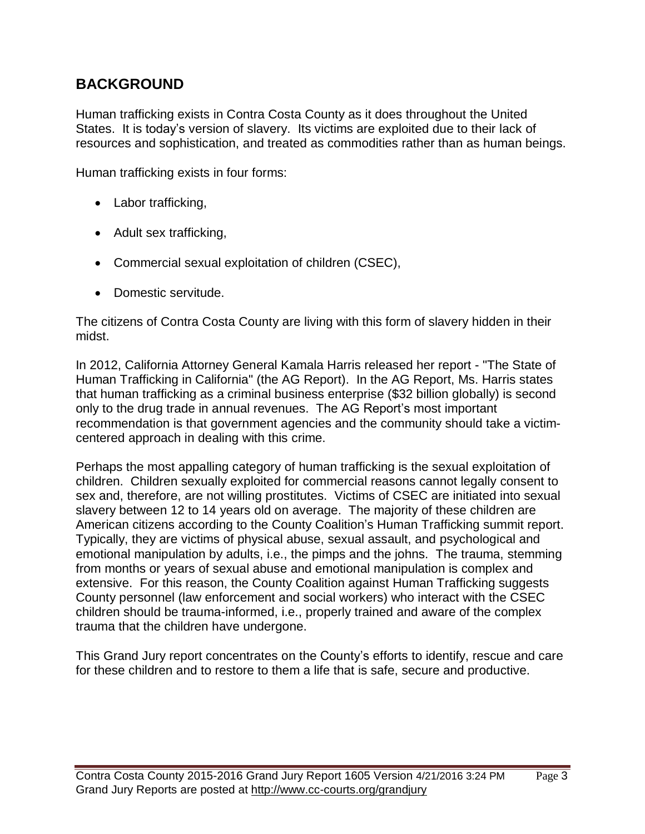# **BACKGROUND**

Human trafficking exists in Contra Costa County as it does throughout the United States. It is today's version of slavery. Its victims are exploited due to their lack of resources and sophistication, and treated as commodities rather than as human beings.

Human trafficking exists in four forms:

- Labor trafficking,
- Adult sex trafficking,
- Commercial sexual exploitation of children (CSEC),
- Domestic servitude.

The citizens of Contra Costa County are living with this form of slavery hidden in their midst.

In 2012, California Attorney General Kamala Harris released her report - "The State of Human Trafficking in California" (the AG Report). In the AG Report, Ms. Harris states that human trafficking as a criminal business enterprise (\$32 billion globally) is second only to the drug trade in annual revenues. The AG Report's most important recommendation is that government agencies and the community should take a victimcentered approach in dealing with this crime.

Perhaps the most appalling category of human trafficking is the sexual exploitation of children. Children sexually exploited for commercial reasons cannot legally consent to sex and, therefore, are not willing prostitutes. Victims of CSEC are initiated into sexual slavery between 12 to 14 years old on average. The majority of these children are American citizens according to the County Coalition's Human Trafficking summit report. Typically, they are victims of physical abuse, sexual assault, and psychological and emotional manipulation by adults, i.e., the pimps and the johns. The trauma, stemming from months or years of sexual abuse and emotional manipulation is complex and extensive. For this reason, the County Coalition against Human Trafficking suggests County personnel (law enforcement and social workers) who interact with the CSEC children should be trauma-informed, i.e., properly trained and aware of the complex trauma that the children have undergone.

This Grand Jury report concentrates on the County's efforts to identify, rescue and care for these children and to restore to them a life that is safe, secure and productive.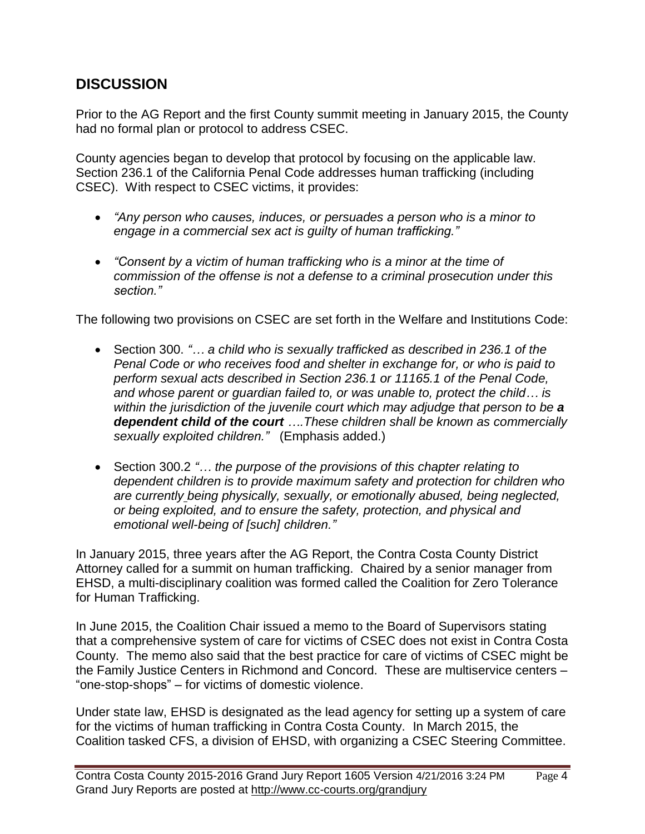### **DISCUSSION**

Prior to the AG Report and the first County summit meeting in January 2015, the County had no formal plan or protocol to address CSEC.

County agencies began to develop that protocol by focusing on the applicable law. Section 236.1 of the California Penal Code addresses human trafficking (including CSEC). With respect to CSEC victims, it provides:

- *"Any person who causes, induces, or persuades a person who is a minor to engage in a commercial sex act is guilty of human trafficking."*
- *"Consent by a victim of human trafficking who is a minor at the time of commission of the offense is not a defense to a criminal prosecution under this section."*

The following two provisions on CSEC are set forth in the Welfare and Institutions Code:

- Section 300. *"… a child who is sexually trafficked as described in 236.1 of the Penal Code or who receives food and shelter in exchange for, or who is paid to perform sexual acts described in Section 236.1 or 11165.1 of the Penal Code, and whose parent or guardian failed to, or was unable to, protect the child… is within the jurisdiction of the juvenile court which may adjudge that person to be a dependent child of the court ….These children shall be known as commercially sexually exploited children."* (Emphasis added.)
- Section 300.2 *"… the purpose of the provisions of this chapter relating to dependent children is to provide maximum safety and protection for children who are currently being physically, sexually, or emotionally abused, being neglected, or being exploited, and to ensure the safety, protection, and physical and emotional well-being of [such] children."*

In January 2015, three years after the AG Report, the Contra Costa County District Attorney called for a summit on human trafficking. Chaired by a senior manager from EHSD, a multi-disciplinary coalition was formed called the Coalition for Zero Tolerance for Human Trafficking.

In June 2015, the Coalition Chair issued a memo to the Board of Supervisors stating that a comprehensive system of care for victims of CSEC does not exist in Contra Costa County. The memo also said that the best practice for care of victims of CSEC might be the Family Justice Centers in Richmond and Concord. These are multiservice centers – "one-stop-shops" – for victims of domestic violence.

Under state law, EHSD is designated as the lead agency for setting up a system of care for the victims of human trafficking in Contra Costa County. In March 2015, the Coalition tasked CFS, a division of EHSD, with organizing a CSEC Steering Committee.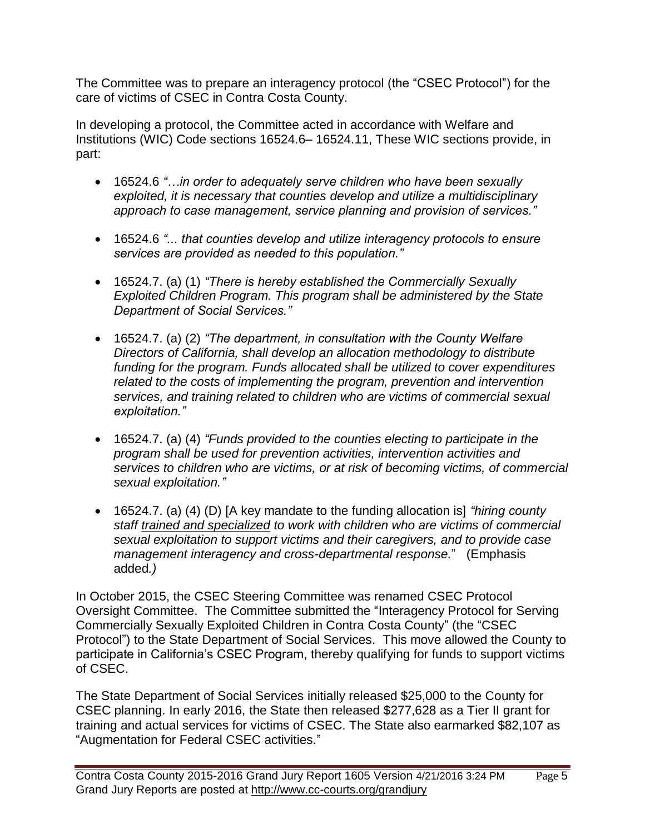The Committee was to prepare an interagency protocol (the "CSEC Protocol") for the care of victims of CSEC in Contra Costa County.

In developing a protocol, the Committee acted in accordance with Welfare and Institutions (WIC) Code sections 16524.6– 16524.11, These WIC sections provide, in part:

- 16524.6 *"…in order to adequately serve children who have been sexually exploited, it is necessary that counties develop and utilize a multidisciplinary approach to case management, service planning and provision of services."*
- 16524.6 *"... that counties develop and utilize interagency protocols to ensure services are provided as needed to this population."*
- 16524.7. (a) (1) *"There is hereby established the Commercially Sexually Exploited Children Program. This program shall be administered by the State Department of Social Services."*
- 16524.7. (a) (2) *"The department, in consultation with the County Welfare Directors of California, shall develop an allocation methodology to distribute funding for the program. Funds allocated shall be utilized to cover expenditures related to the costs of implementing the program, prevention and intervention services, and training related to children who are victims of commercial sexual exploitation."*
- 16524.7. (a) (4) *"Funds provided to the counties electing to participate in the program shall be used for prevention activities, intervention activities and services to children who are victims, or at risk of becoming victims, of commercial sexual exploitation."*
- 16524.7. (a) (4) (D) [A key mandate to the funding allocation is] *"hiring county staff trained and specialized to work with children who are victims of commercial sexual exploitation to support victims and their caregivers, and to provide case management interagency and cross-departmental response.*" (Emphasis added*.)*

In October 2015, the CSEC Steering Committee was renamed CSEC Protocol Oversight Committee. The Committee submitted the "Interagency Protocol for Serving Commercially Sexually Exploited Children in Contra Costa County" (the "CSEC Protocol") to the State Department of Social Services. This move allowed the County to participate in California's CSEC Program, thereby qualifying for funds to support victims of CSEC.

The State Department of Social Services initially released \$25,000 to the County for CSEC planning. In early 2016, the State then released \$277,628 as a Tier II grant for training and actual services for victims of CSEC. The State also earmarked \$82,107 as "Augmentation for Federal CSEC activities."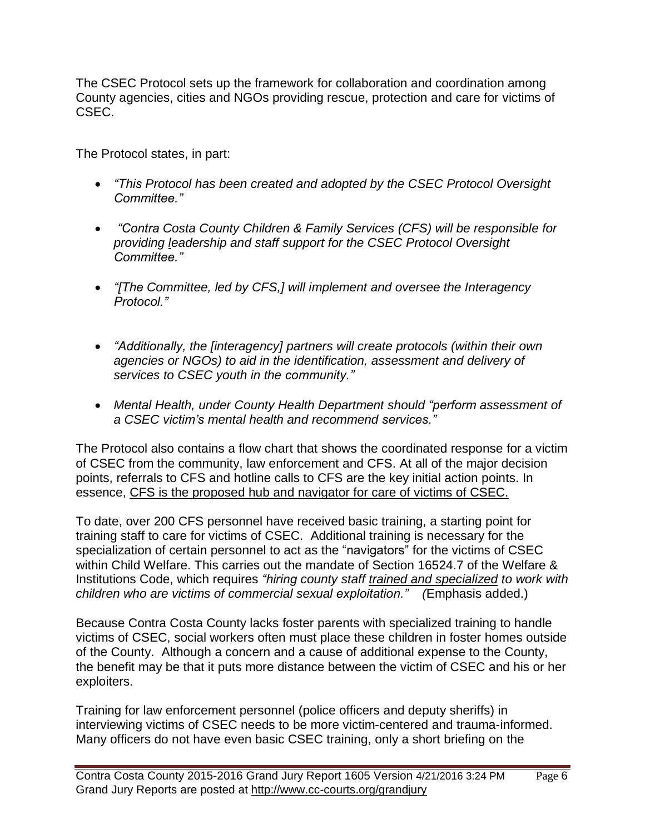The CSEC Protocol sets up the framework for collaboration and coordination among County agencies, cities and NGOs providing rescue, protection and care for victims of CSEC.

The Protocol states, in part:

- *"This Protocol has been created and adopted by the CSEC Protocol Oversight Committee."*
- *"Contra Costa County Children & Family Services (CFS) will be responsible for providing leadership and staff support for the CSEC Protocol Oversight Committee."*
- *"[The Committee, led by CFS,] will implement and oversee the Interagency Protocol."*
- *"Additionally, the [interagency] partners will create protocols (within their own agencies or NGOs) to aid in the identification, assessment and delivery of services to CSEC youth in the community."*
- *Mental Health, under County Health Department should "perform assessment of a CSEC victim's mental health and recommend services."*

The Protocol also contains a flow chart that shows the coordinated response for a victim of CSEC from the community, law enforcement and CFS. At all of the major decision points, referrals to CFS and hotline calls to CFS are the key initial action points. In essence, CFS is the proposed hub and navigator for care of victims of CSEC.

To date, over 200 CFS personnel have received basic training, a starting point for training staff to care for victims of CSEC. Additional training is necessary for the specialization of certain personnel to act as the "navigators" for the victims of CSEC within Child Welfare. This carries out the mandate of Section 16524.7 of the Welfare & Institutions Code, which requires *"hiring county staff trained and specialized to work with children who are victims of commercial sexual exploitation." (*Emphasis added.)

Because Contra Costa County lacks foster parents with specialized training to handle victims of CSEC, social workers often must place these children in foster homes outside of the County. Although a concern and a cause of additional expense to the County, the benefit may be that it puts more distance between the victim of CSEC and his or her exploiters.

Training for law enforcement personnel (police officers and deputy sheriffs) in interviewing victims of CSEC needs to be more victim-centered and trauma-informed. Many officers do not have even basic CSEC training, only a short briefing on the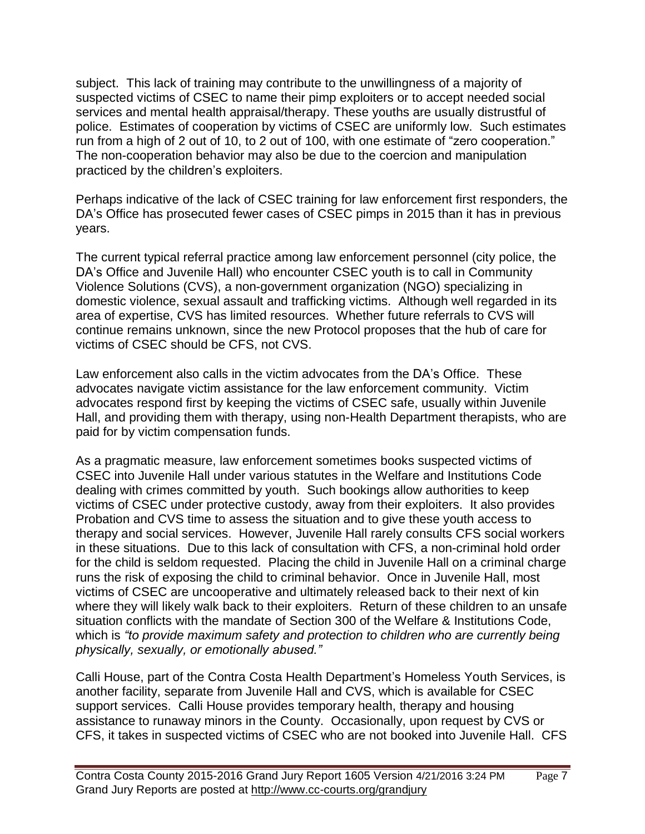subject. This lack of training may contribute to the unwillingness of a majority of suspected victims of CSEC to name their pimp exploiters or to accept needed social services and mental health appraisal/therapy. These youths are usually distrustful of police. Estimates of cooperation by victims of CSEC are uniformly low. Such estimates run from a high of 2 out of 10, to 2 out of 100, with one estimate of "zero cooperation." The non-cooperation behavior may also be due to the coercion and manipulation practiced by the children's exploiters.

Perhaps indicative of the lack of CSEC training for law enforcement first responders, the DA's Office has prosecuted fewer cases of CSEC pimps in 2015 than it has in previous years.

The current typical referral practice among law enforcement personnel (city police, the DA's Office and Juvenile Hall) who encounter CSEC youth is to call in Community Violence Solutions (CVS), a non-government organization (NGO) specializing in domestic violence, sexual assault and trafficking victims. Although well regarded in its area of expertise, CVS has limited resources. Whether future referrals to CVS will continue remains unknown, since the new Protocol proposes that the hub of care for victims of CSEC should be CFS, not CVS.

Law enforcement also calls in the victim advocates from the DA's Office. These advocates navigate victim assistance for the law enforcement community. Victim advocates respond first by keeping the victims of CSEC safe, usually within Juvenile Hall, and providing them with therapy, using non-Health Department therapists, who are paid for by victim compensation funds.

As a pragmatic measure, law enforcement sometimes books suspected victims of CSEC into Juvenile Hall under various statutes in the Welfare and Institutions Code dealing with crimes committed by youth. Such bookings allow authorities to keep victims of CSEC under protective custody, away from their exploiters. It also provides Probation and CVS time to assess the situation and to give these youth access to therapy and social services. However, Juvenile Hall rarely consults CFS social workers in these situations. Due to this lack of consultation with CFS, a non-criminal hold order for the child is seldom requested. Placing the child in Juvenile Hall on a criminal charge runs the risk of exposing the child to criminal behavior. Once in Juvenile Hall, most victims of CSEC are uncooperative and ultimately released back to their next of kin where they will likely walk back to their exploiters. Return of these children to an unsafe situation conflicts with the mandate of Section 300 of the Welfare & Institutions Code, which is *"to provide maximum safety and protection to children who are currently being physically, sexually, or emotionally abused."*

Calli House, part of the Contra Costa Health Department's Homeless Youth Services, is another facility, separate from Juvenile Hall and CVS, which is available for CSEC support services. Calli House provides temporary health, therapy and housing assistance to runaway minors in the County. Occasionally, upon request by CVS or CFS, it takes in suspected victims of CSEC who are not booked into Juvenile Hall. CFS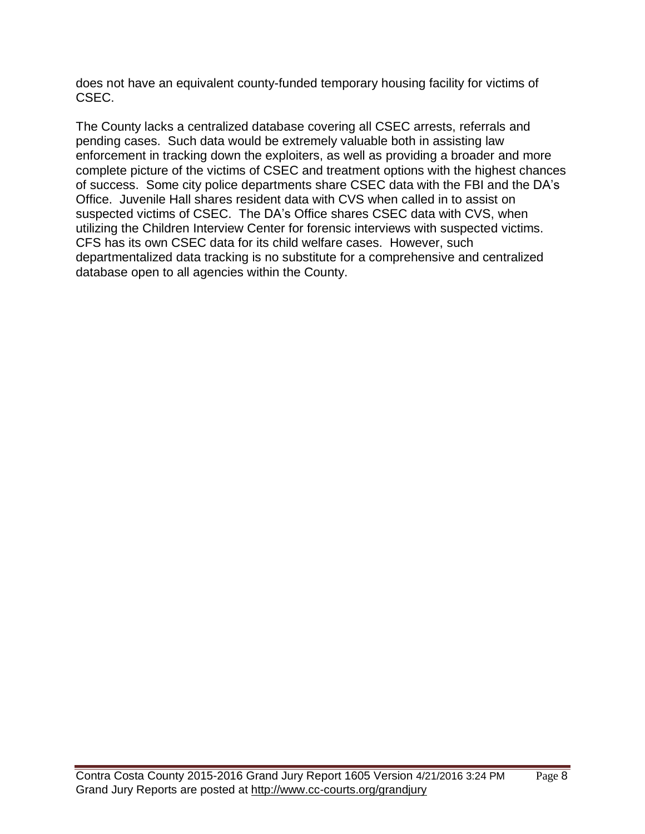does not have an equivalent county-funded temporary housing facility for victims of CSEC.

The County lacks a centralized database covering all CSEC arrests, referrals and pending cases. Such data would be extremely valuable both in assisting law enforcement in tracking down the exploiters, as well as providing a broader and more complete picture of the victims of CSEC and treatment options with the highest chances of success. Some city police departments share CSEC data with the FBI and the DA's Office. Juvenile Hall shares resident data with CVS when called in to assist on suspected victims of CSEC. The DA's Office shares CSEC data with CVS, when utilizing the Children Interview Center for forensic interviews with suspected victims. CFS has its own CSEC data for its child welfare cases. However, such departmentalized data tracking is no substitute for a comprehensive and centralized database open to all agencies within the County.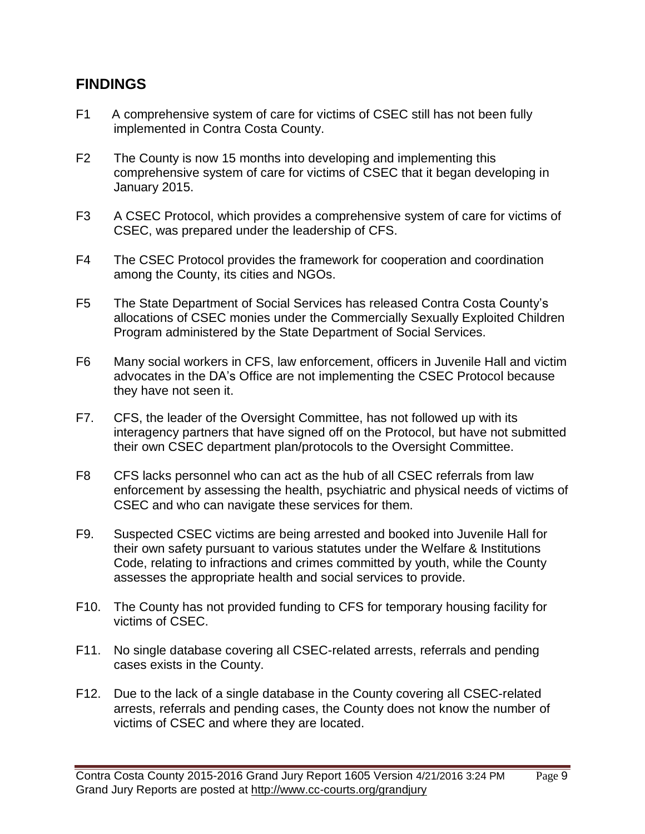#### **FINDINGS**

- F1 A comprehensive system of care for victims of CSEC still has not been fully implemented in Contra Costa County.
- F2 The County is now 15 months into developing and implementing this comprehensive system of care for victims of CSEC that it began developing in January 2015.
- F3 A CSEC Protocol, which provides a comprehensive system of care for victims of CSEC, was prepared under the leadership of CFS.
- F4 The CSEC Protocol provides the framework for cooperation and coordination among the County, its cities and NGOs.
- F5 The State Department of Social Services has released Contra Costa County's allocations of CSEC monies under the Commercially Sexually Exploited Children Program administered by the State Department of Social Services.
- F6 Many social workers in CFS, law enforcement, officers in Juvenile Hall and victim advocates in the DA's Office are not implementing the CSEC Protocol because they have not seen it.
- F7. CFS, the leader of the Oversight Committee, has not followed up with its interagency partners that have signed off on the Protocol, but have not submitted their own CSEC department plan/protocols to the Oversight Committee.
- F8 CFS lacks personnel who can act as the hub of all CSEC referrals from law enforcement by assessing the health, psychiatric and physical needs of victims of CSEC and who can navigate these services for them.
- F9. Suspected CSEC victims are being arrested and booked into Juvenile Hall for their own safety pursuant to various statutes under the Welfare & Institutions Code, relating to infractions and crimes committed by youth, while the County assesses the appropriate health and social services to provide.
- F10. The County has not provided funding to CFS for temporary housing facility for victims of CSEC.
- F11. No single database covering all CSEC-related arrests, referrals and pending cases exists in the County.
- F12. Due to the lack of a single database in the County covering all CSEC-related arrests, referrals and pending cases, the County does not know the number of victims of CSEC and where they are located.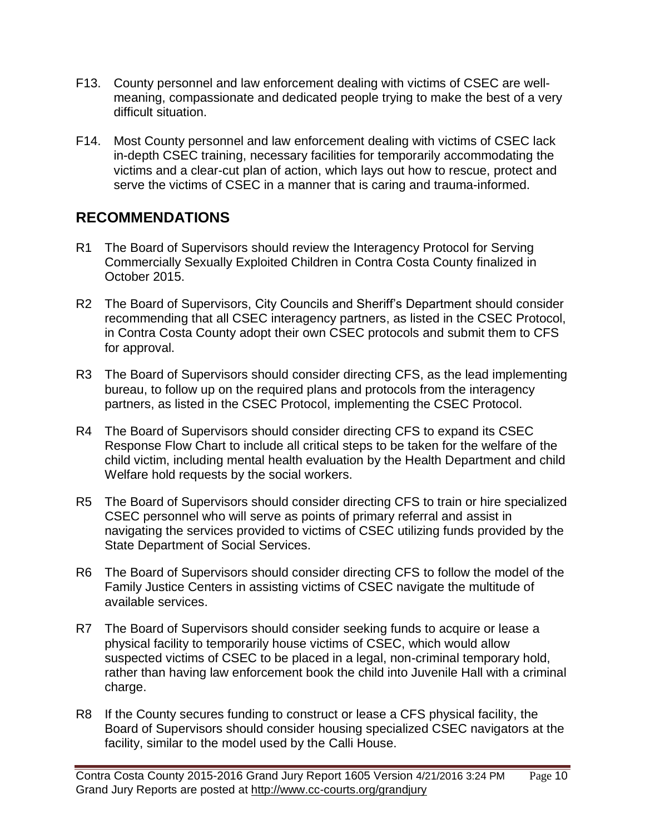- F13. County personnel and law enforcement dealing with victims of CSEC are wellmeaning, compassionate and dedicated people trying to make the best of a very difficult situation.
- F14. Most County personnel and law enforcement dealing with victims of CSEC lack in-depth CSEC training, necessary facilities for temporarily accommodating the victims and a clear-cut plan of action, which lays out how to rescue, protect and serve the victims of CSEC in a manner that is caring and trauma-informed.

# **RECOMMENDATIONS**

- R1 The Board of Supervisors should review the Interagency Protocol for Serving Commercially Sexually Exploited Children in Contra Costa County finalized in October 2015.
- R2 The Board of Supervisors, City Councils and Sheriff's Department should consider recommending that all CSEC interagency partners, as listed in the CSEC Protocol, in Contra Costa County adopt their own CSEC protocols and submit them to CFS for approval.
- R3 The Board of Supervisors should consider directing CFS, as the lead implementing bureau, to follow up on the required plans and protocols from the interagency partners, as listed in the CSEC Protocol, implementing the CSEC Protocol.
- R4 The Board of Supervisors should consider directing CFS to expand its CSEC Response Flow Chart to include all critical steps to be taken for the welfare of the child victim, including mental health evaluation by the Health Department and child Welfare hold requests by the social workers.
- R5 The Board of Supervisors should consider directing CFS to train or hire specialized CSEC personnel who will serve as points of primary referral and assist in navigating the services provided to victims of CSEC utilizing funds provided by the State Department of Social Services.
- R6 The Board of Supervisors should consider directing CFS to follow the model of the Family Justice Centers in assisting victims of CSEC navigate the multitude of available services.
- R7 The Board of Supervisors should consider seeking funds to acquire or lease a physical facility to temporarily house victims of CSEC, which would allow suspected victims of CSEC to be placed in a legal, non-criminal temporary hold, rather than having law enforcement book the child into Juvenile Hall with a criminal charge.
- R8 If the County secures funding to construct or lease a CFS physical facility, the Board of Supervisors should consider housing specialized CSEC navigators at the facility, similar to the model used by the Calli House.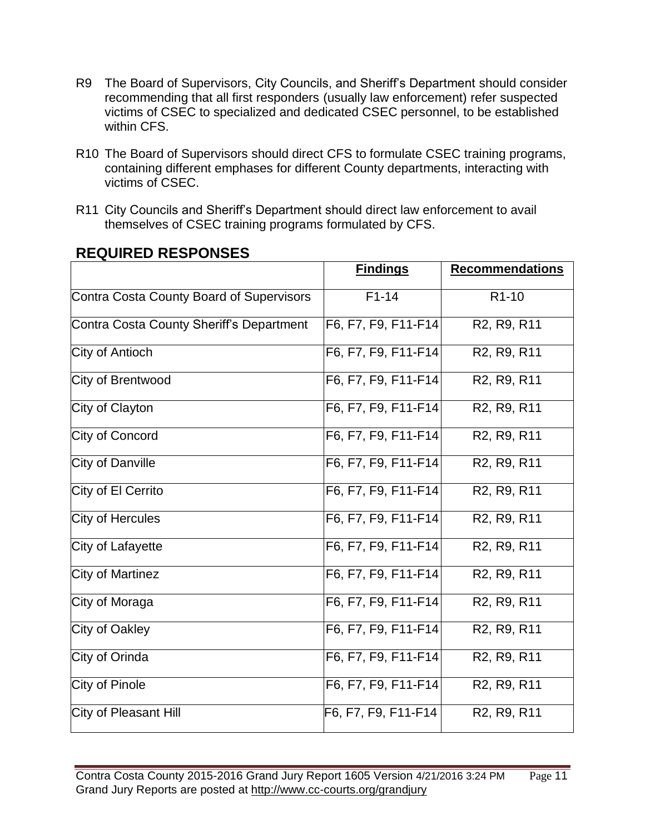- R9 The Board of Supervisors, City Councils, and Sheriff's Department should consider recommending that all first responders (usually law enforcement) refer suspected victims of CSEC to specialized and dedicated CSEC personnel, to be established within CFS.
- R10 The Board of Supervisors should direct CFS to formulate CSEC training programs, containing different emphases for different County departments, interacting with victims of CSEC.
- R11 City Councils and Sheriff's Department should direct law enforcement to avail themselves of CSEC training programs formulated by CFS.

|                                          | <b>Findings</b>                            | <b>Recommendations</b>                            |
|------------------------------------------|--------------------------------------------|---------------------------------------------------|
| Contra Costa County Board of Supervisors | $F1-14$                                    | R <sub>1</sub> -10                                |
| Contra Costa County Sheriff's Department | F6, F7, F9, F11-F14                        | R <sub>2</sub> , R <sub>9</sub> , R <sub>11</sub> |
| City of Antioch                          | F6, F7, F9, F11-F14                        | R2, R9, R11                                       |
| City of Brentwood                        | F6, F7, F9, F11-F14                        | R <sub>2</sub> , R <sub>9</sub> , R <sub>11</sub> |
| City of Clayton                          | F6, F7, F9, F11-F14                        | R <sub>2</sub> , R <sub>9</sub> , R <sub>11</sub> |
| City of Concord                          | F6, F7, F9, F11-F14                        | R2, R9, R11                                       |
| City of Danville                         | F6, F7, F9, F11-F14                        | R <sub>2</sub> , R <sub>9</sub> , R <sub>11</sub> |
| City of El Cerrito                       | F6, F7, F9, F11-F14                        | R <sub>2</sub> , R <sub>9</sub> , R <sub>11</sub> |
| City of Hercules                         | F6, F7, F9, F11-F14                        | R <sub>2</sub> , R <sub>9</sub> , R <sub>11</sub> |
| City of Lafayette                        | F6, F7, F9, F11-F14                        | R2, R9, R11                                       |
| City of Martinez                         | F6, F7, F9, F11-F14                        | R2, R9, R11                                       |
| City of Moraga                           | F6, F7, F9, F11-F14                        | R2, R9, R11                                       |
| City of Oakley                           | F6, F7, F9, F11-F14                        | R2, R9, R11                                       |
| City of Orinda                           | F6, F7, F9, F11-F14                        | R2, R9, R11                                       |
| City of Pinole                           | F6, F7, F9, F11-F14                        | R <sub>2</sub> , R <sub>9</sub> , R <sub>11</sub> |
| City of Pleasant Hill                    | $\overline{\mathsf{F6}}$ , F7, F9, F11-F14 | R <sub>2</sub> , R <sub>9</sub> , R <sub>11</sub> |

# **REQUIRED RESPONSES**

Contra Costa County 2015-2016 Grand Jury Report 1605 Version 4/21/2016 3:24 PM Page 11 Grand Jury Reports are posted at http://www.cc-courts.org/grandjury